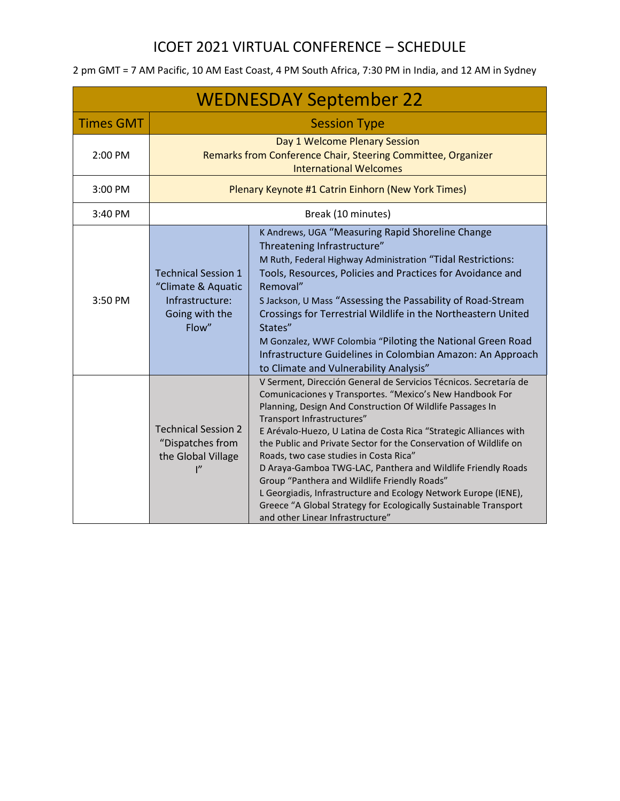|                  |                                                                                                | <b>WEDNESDAY September 22</b>                                                                                                                                                                                                                                                                                                                                                                                                                                                                                                                                                                                                                                                                           |
|------------------|------------------------------------------------------------------------------------------------|---------------------------------------------------------------------------------------------------------------------------------------------------------------------------------------------------------------------------------------------------------------------------------------------------------------------------------------------------------------------------------------------------------------------------------------------------------------------------------------------------------------------------------------------------------------------------------------------------------------------------------------------------------------------------------------------------------|
| <b>Times GMT</b> |                                                                                                | <b>Session Type</b>                                                                                                                                                                                                                                                                                                                                                                                                                                                                                                                                                                                                                                                                                     |
| 2:00 PM          |                                                                                                | Day 1 Welcome Plenary Session<br>Remarks from Conference Chair, Steering Committee, Organizer<br><b>International Welcomes</b>                                                                                                                                                                                                                                                                                                                                                                                                                                                                                                                                                                          |
| 3:00 PM          |                                                                                                | Plenary Keynote #1 Catrin Einhorn (New York Times)                                                                                                                                                                                                                                                                                                                                                                                                                                                                                                                                                                                                                                                      |
| 3:40 PM          |                                                                                                | Break (10 minutes)                                                                                                                                                                                                                                                                                                                                                                                                                                                                                                                                                                                                                                                                                      |
| 3:50 PM          | <b>Technical Session 1</b><br>"Climate & Aquatic<br>Infrastructure:<br>Going with the<br>Flow" | K Andrews, UGA "Measuring Rapid Shoreline Change<br>Threatening Infrastructure"<br>M Ruth, Federal Highway Administration "Tidal Restrictions:<br>Tools, Resources, Policies and Practices for Avoidance and<br>Removal"<br>S Jackson, U Mass "Assessing the Passability of Road-Stream<br>Crossings for Terrestrial Wildlife in the Northeastern United<br>States"<br>M Gonzalez, WWF Colombia "Piloting the National Green Road<br>Infrastructure Guidelines in Colombian Amazon: An Approach<br>to Climate and Vulnerability Analysis"                                                                                                                                                               |
|                  | <b>Technical Session 2</b><br>"Dispatches from<br>the Global Village<br>ייו                    | V Serment, Dirección General de Servicios Técnicos. Secretaría de<br>Comunicaciones y Transportes. "Mexico's New Handbook For<br>Planning, Design And Construction Of Wildlife Passages In<br>Transport Infrastructures"<br>E Arévalo-Huezo, U Latina de Costa Rica "Strategic Alliances with<br>the Public and Private Sector for the Conservation of Wildlife on<br>Roads, two case studies in Costa Rica"<br>D Araya-Gamboa TWG-LAC, Panthera and Wildlife Friendly Roads<br>Group "Panthera and Wildlife Friendly Roads"<br>L Georgiadis, Infrastructure and Ecology Network Europe (IENE),<br>Greece "A Global Strategy for Ecologically Sustainable Transport<br>and other Linear Infrastructure" |

2 pm GMT = 7 AM Pacific, 10 AM East Coast, 4 PM South Africa, 7:30 PM in India, and 12 AM in Sydney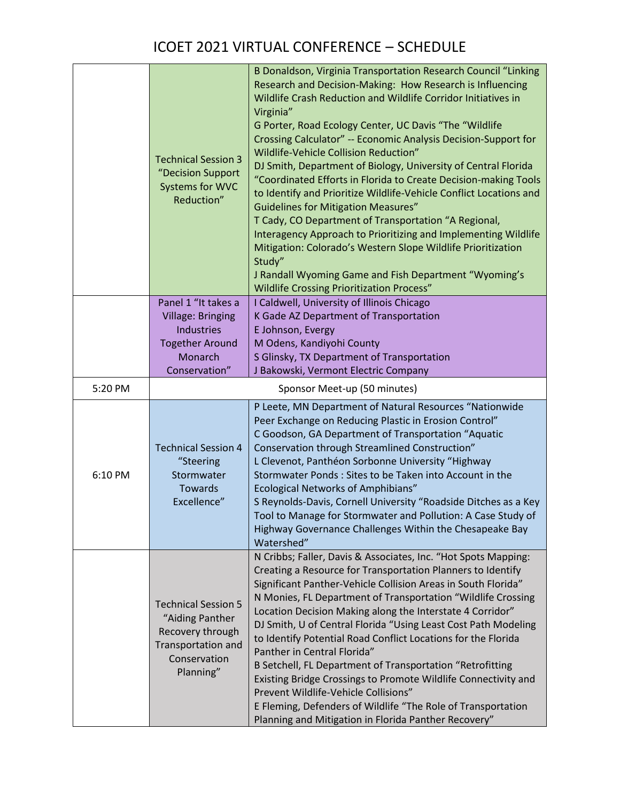|         | <b>Technical Session 3</b><br>"Decision Support<br>Systems for WVC<br>Reduction"                                     | B Donaldson, Virginia Transportation Research Council "Linking<br>Research and Decision-Making: How Research is Influencing<br>Wildlife Crash Reduction and Wildlife Corridor Initiatives in<br>Virginia"<br>G Porter, Road Ecology Center, UC Davis "The "Wildlife<br>Crossing Calculator" -- Economic Analysis Decision-Support for<br>Wildlife-Vehicle Collision Reduction"<br>DJ Smith, Department of Biology, University of Central Florida<br>"Coordinated Efforts in Florida to Create Decision-making Tools<br>to Identify and Prioritize Wildlife-Vehicle Conflict Locations and<br><b>Guidelines for Mitigation Measures"</b><br>T Cady, CO Department of Transportation "A Regional,<br>Interagency Approach to Prioritizing and Implementing Wildlife<br>Mitigation: Colorado's Western Slope Wildlife Prioritization<br>Study"<br>J Randall Wyoming Game and Fish Department "Wyoming's<br><b>Wildlife Crossing Prioritization Process"</b> |
|---------|----------------------------------------------------------------------------------------------------------------------|----------------------------------------------------------------------------------------------------------------------------------------------------------------------------------------------------------------------------------------------------------------------------------------------------------------------------------------------------------------------------------------------------------------------------------------------------------------------------------------------------------------------------------------------------------------------------------------------------------------------------------------------------------------------------------------------------------------------------------------------------------------------------------------------------------------------------------------------------------------------------------------------------------------------------------------------------------|
|         | Panel 1 "It takes a                                                                                                  | I Caldwell, University of Illinois Chicago                                                                                                                                                                                                                                                                                                                                                                                                                                                                                                                                                                                                                                                                                                                                                                                                                                                                                                               |
|         | <b>Village: Bringing</b><br><b>Industries</b>                                                                        | K Gade AZ Department of Transportation<br>E Johnson, Evergy                                                                                                                                                                                                                                                                                                                                                                                                                                                                                                                                                                                                                                                                                                                                                                                                                                                                                              |
|         | <b>Together Around</b>                                                                                               | M Odens, Kandiyohi County                                                                                                                                                                                                                                                                                                                                                                                                                                                                                                                                                                                                                                                                                                                                                                                                                                                                                                                                |
|         | Monarch                                                                                                              | S Glinsky, TX Department of Transportation                                                                                                                                                                                                                                                                                                                                                                                                                                                                                                                                                                                                                                                                                                                                                                                                                                                                                                               |
|         | Conservation"                                                                                                        | J Bakowski, Vermont Electric Company                                                                                                                                                                                                                                                                                                                                                                                                                                                                                                                                                                                                                                                                                                                                                                                                                                                                                                                     |
| 5:20 PM |                                                                                                                      | Sponsor Meet-up (50 minutes)                                                                                                                                                                                                                                                                                                                                                                                                                                                                                                                                                                                                                                                                                                                                                                                                                                                                                                                             |
| 6:10 PM | <b>Technical Session 4</b><br>"Steering<br>Stormwater<br>Towards<br>Excellence"                                      | P Leete, MN Department of Natural Resources "Nationwide<br>Peer Exchange on Reducing Plastic in Erosion Control"<br>C Goodson, GA Department of Transportation "Aquatic<br>Conservation through Streamlined Construction"<br>L Clevenot, Panthéon Sorbonne University "Highway<br>Stormwater Ponds: Sites to be Taken into Account in the<br><b>Ecological Networks of Amphibians"</b><br>S Reynolds-Davis, Cornell University "Roadside Ditches as a Key<br>Tool to Manage for Stormwater and Pollution: A Case Study of<br>Highway Governance Challenges Within the Chesapeake Bay<br>Watershed"                                                                                                                                                                                                                                                                                                                                                       |
|         | <b>Technical Session 5</b><br>"Aiding Panther<br>Recovery through<br>Transportation and<br>Conservation<br>Planning" | N Cribbs; Faller, Davis & Associates, Inc. "Hot Spots Mapping:<br>Creating a Resource for Transportation Planners to Identify<br>Significant Panther-Vehicle Collision Areas in South Florida"<br>N Monies, FL Department of Transportation "Wildlife Crossing<br>Location Decision Making along the Interstate 4 Corridor"<br>DJ Smith, U of Central Florida "Using Least Cost Path Modeling<br>to Identify Potential Road Conflict Locations for the Florida<br>Panther in Central Florida"<br>B Setchell, FL Department of Transportation "Retrofitting<br>Existing Bridge Crossings to Promote Wildlife Connectivity and<br>Prevent Wildlife-Vehicle Collisions"<br>E Fleming, Defenders of Wildlife "The Role of Transportation<br>Planning and Mitigation in Florida Panther Recovery"                                                                                                                                                             |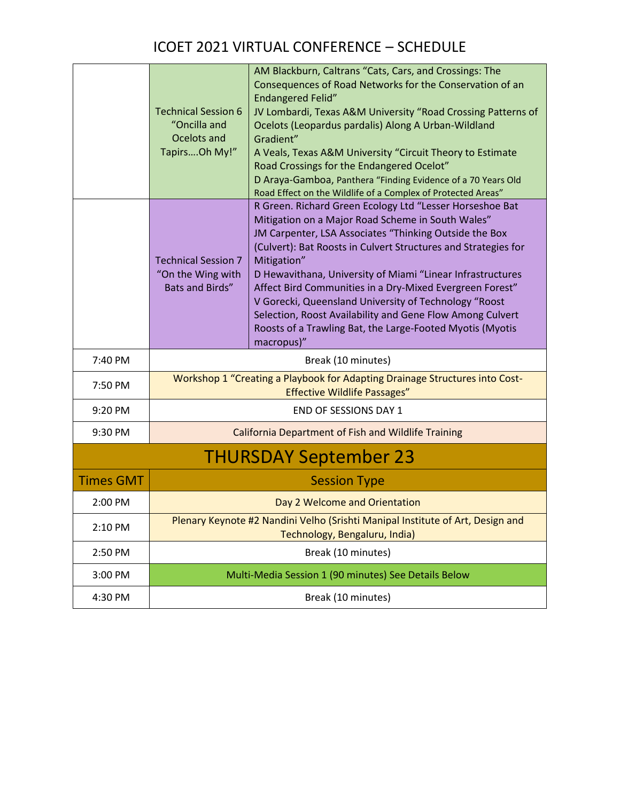|                  | <b>Technical Session 6</b><br>"Oncilla and<br>Ocelots and<br>TapirsOh My!" | AM Blackburn, Caltrans "Cats, Cars, and Crossings: The<br>Consequences of Road Networks for the Conservation of an<br><b>Endangered Felid"</b><br>JV Lombardi, Texas A&M University "Road Crossing Patterns of<br>Ocelots (Leopardus pardalis) Along A Urban-Wildland<br>Gradient"<br>A Veals, Texas A&M University "Circuit Theory to Estimate<br>Road Crossings for the Endangered Ocelot"<br>D Araya-Gamboa, Panthera "Finding Evidence of a 70 Years Old<br>Road Effect on the Wildlife of a Complex of Protected Areas"                                                        |
|------------------|----------------------------------------------------------------------------|-------------------------------------------------------------------------------------------------------------------------------------------------------------------------------------------------------------------------------------------------------------------------------------------------------------------------------------------------------------------------------------------------------------------------------------------------------------------------------------------------------------------------------------------------------------------------------------|
|                  | <b>Technical Session 7</b><br>"On the Wing with<br><b>Bats and Birds"</b>  | R Green. Richard Green Ecology Ltd "Lesser Horseshoe Bat<br>Mitigation on a Major Road Scheme in South Wales"<br>JM Carpenter, LSA Associates "Thinking Outside the Box<br>(Culvert): Bat Roosts in Culvert Structures and Strategies for<br>Mitigation"<br>D Hewavithana, University of Miami "Linear Infrastructures<br>Affect Bird Communities in a Dry-Mixed Evergreen Forest"<br>V Gorecki, Queensland University of Technology "Roost<br>Selection, Roost Availability and Gene Flow Among Culvert<br>Roosts of a Trawling Bat, the Large-Footed Myotis (Myotis<br>macropus)" |
| 7:40 PM          |                                                                            | Break (10 minutes)                                                                                                                                                                                                                                                                                                                                                                                                                                                                                                                                                                  |
| 7:50 PM          |                                                                            | Workshop 1 "Creating a Playbook for Adapting Drainage Structures into Cost-<br><b>Effective Wildlife Passages"</b>                                                                                                                                                                                                                                                                                                                                                                                                                                                                  |
| 9:20 PM          |                                                                            | <b>END OF SESSIONS DAY 1</b>                                                                                                                                                                                                                                                                                                                                                                                                                                                                                                                                                        |
| 9:30 PM          |                                                                            | <b>California Department of Fish and Wildlife Training</b>                                                                                                                                                                                                                                                                                                                                                                                                                                                                                                                          |
|                  |                                                                            | <b>THURSDAY September 23</b>                                                                                                                                                                                                                                                                                                                                                                                                                                                                                                                                                        |
| <b>Times GMT</b> |                                                                            | <b>Session Type</b>                                                                                                                                                                                                                                                                                                                                                                                                                                                                                                                                                                 |
| 2:00 PM          |                                                                            | Day 2 Welcome and Orientation                                                                                                                                                                                                                                                                                                                                                                                                                                                                                                                                                       |
| 2:10 PM          |                                                                            | Plenary Keynote #2 Nandini Velho (Srishti Manipal Institute of Art, Design and<br>Technology, Bengaluru, India)                                                                                                                                                                                                                                                                                                                                                                                                                                                                     |
| 2:50 PM          |                                                                            | Break (10 minutes)                                                                                                                                                                                                                                                                                                                                                                                                                                                                                                                                                                  |
| 3:00 PM          |                                                                            | Multi-Media Session 1 (90 minutes) See Details Below                                                                                                                                                                                                                                                                                                                                                                                                                                                                                                                                |
| 4:30 PM          |                                                                            | Break (10 minutes)                                                                                                                                                                                                                                                                                                                                                                                                                                                                                                                                                                  |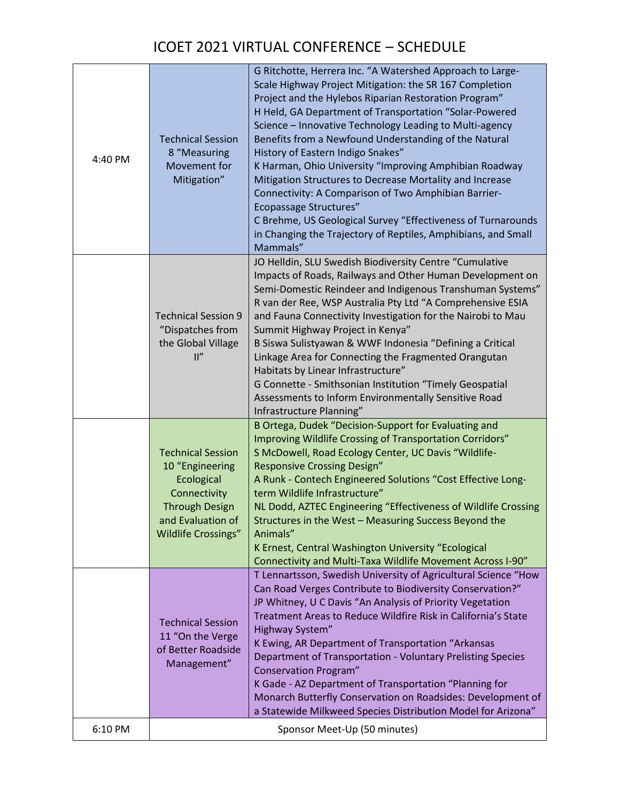| 4:40 PM | <b>Technical Session</b><br>8 "Measuring<br>Movement for<br>Mitigation"                                                                               | G Ritchotte, Herrera Inc. "A Watershed Approach to Large-<br>Scale Highway Project Mitigation: the SR 167 Completion<br>Project and the Hylebos Riparian Restoration Program"<br>H Held, GA Department of Transportation "Solar-Powered<br>Science - Innovative Technology Leading to Multi-agency<br>Benefits from a Newfound Understanding of the Natural<br>History of Eastern Indigo Snakes"<br>K Harman, Ohio University "Improving Amphibian Roadway<br>Mitigation Structures to Decrease Mortality and Increase<br>Connectivity: A Comparison of Two Amphibian Barrier-<br><b>Ecopassage Structures"</b><br>C Brehme, US Geological Survey "Effectiveness of Turnarounds<br>in Changing the Trajectory of Reptiles, Amphibians, and Small<br>Mammals" |
|---------|-------------------------------------------------------------------------------------------------------------------------------------------------------|--------------------------------------------------------------------------------------------------------------------------------------------------------------------------------------------------------------------------------------------------------------------------------------------------------------------------------------------------------------------------------------------------------------------------------------------------------------------------------------------------------------------------------------------------------------------------------------------------------------------------------------------------------------------------------------------------------------------------------------------------------------|
|         | <b>Technical Session 9</b><br>"Dispatches from<br>the Global Village<br>$\mathbb{I}''$                                                                | JO Helldin, SLU Swedish Biodiversity Centre "Cumulative<br>Impacts of Roads, Railways and Other Human Development on<br>Semi-Domestic Reindeer and Indigenous Transhuman Systems"<br>R van der Ree, WSP Australia Pty Ltd "A Comprehensive ESIA<br>and Fauna Connectivity Investigation for the Nairobi to Mau<br>Summit Highway Project in Kenya"<br>B Siswa Sulistyawan & WWF Indonesia "Defining a Critical<br>Linkage Area for Connecting the Fragmented Orangutan<br>Habitats by Linear Infrastructure"<br>G Connette - Smithsonian Institution "Timely Geospatial<br>Assessments to Inform Environmentally Sensitive Road<br>Infrastructure Planning"                                                                                                  |
|         | <b>Technical Session</b><br>10 "Engineering<br>Ecological<br>Connectivity<br><b>Through Design</b><br>and Evaluation of<br><b>Wildlife Crossings"</b> | B Ortega, Dudek "Decision-Support for Evaluating and<br>Improving Wildlife Crossing of Transportation Corridors"<br>S McDowell, Road Ecology Center, UC Davis "Wildlife-<br><b>Responsive Crossing Design"</b><br>A Runk - Contech Engineered Solutions "Cost Effective Long-<br>term Wildlife Infrastructure"<br>NL Dodd, AZTEC Engineering "Effectiveness of Wildlife Crossing<br>Structures in the West - Measuring Success Beyond the<br>Animals"<br>K Ernest, Central Washington University "Ecological<br>Connectivity and Multi-Taxa Wildlife Movement Across I-90"                                                                                                                                                                                   |
|         | <b>Technical Session</b><br>11 "On the Verge<br>of Better Roadside<br>Management"                                                                     | T Lennartsson, Swedish University of Agricultural Science "How<br>Can Road Verges Contribute to Biodiversity Conservation?"<br>JP Whitney, U C Davis "An Analysis of Priority Vegetation<br>Treatment Areas to Reduce Wildfire Risk in California's State<br>Highway System"<br>K Ewing, AR Department of Transportation "Arkansas<br>Department of Transportation - Voluntary Prelisting Species<br><b>Conservation Program"</b><br>K Gade - AZ Department of Transportation "Planning for<br>Monarch Butterfly Conservation on Roadsides: Development of<br>a Statewide Milkweed Species Distribution Model for Arizona"                                                                                                                                   |
| 6:10 PM |                                                                                                                                                       | Sponsor Meet-Up (50 minutes)                                                                                                                                                                                                                                                                                                                                                                                                                                                                                                                                                                                                                                                                                                                                 |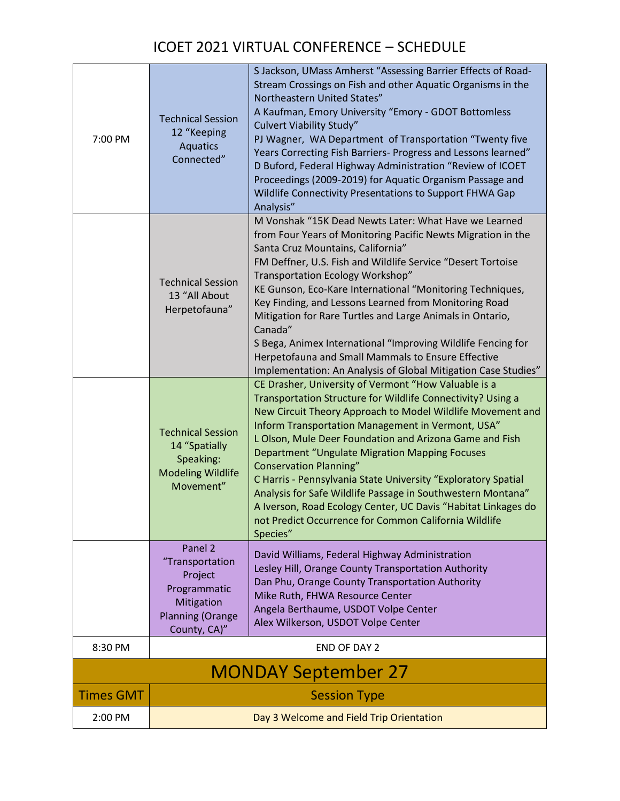| 7:00 PM          | <b>Technical Session</b><br>12 "Keeping<br><b>Aquatics</b><br>Connected"                        | S Jackson, UMass Amherst "Assessing Barrier Effects of Road-<br>Stream Crossings on Fish and other Aquatic Organisms in the<br>Northeastern United States"<br>A Kaufman, Emory University "Emory - GDOT Bottomless<br><b>Culvert Viability Study"</b><br>PJ Wagner, WA Department of Transportation "Twenty five<br>Years Correcting Fish Barriers- Progress and Lessons learned"<br>D Buford, Federal Highway Administration "Review of ICOET<br>Proceedings (2009-2019) for Aquatic Organism Passage and<br>Wildlife Connectivity Presentations to Support FHWA Gap<br>Analysis"                                                                                |
|------------------|-------------------------------------------------------------------------------------------------|-------------------------------------------------------------------------------------------------------------------------------------------------------------------------------------------------------------------------------------------------------------------------------------------------------------------------------------------------------------------------------------------------------------------------------------------------------------------------------------------------------------------------------------------------------------------------------------------------------------------------------------------------------------------|
|                  | <b>Technical Session</b><br>13 "All About<br>Herpetofauna"                                      | M Vonshak "15K Dead Newts Later: What Have we Learned<br>from Four Years of Monitoring Pacific Newts Migration in the<br>Santa Cruz Mountains, California"<br>FM Deffner, U.S. Fish and Wildlife Service "Desert Tortoise<br>Transportation Ecology Workshop"<br>KE Gunson, Eco-Kare International "Monitoring Techniques,<br>Key Finding, and Lessons Learned from Monitoring Road<br>Mitigation for Rare Turtles and Large Animals in Ontario,<br>Canada"<br>S Bega, Animex International "Improving Wildlife Fencing for<br>Herpetofauna and Small Mammals to Ensure Effective<br>Implementation: An Analysis of Global Mitigation Case Studies"               |
|                  | <b>Technical Session</b><br>14 "Spatially<br>Speaking:<br><b>Modeling Wildlife</b><br>Movement" | CE Drasher, University of Vermont "How Valuable is a<br>Transportation Structure for Wildlife Connectivity? Using a<br>New Circuit Theory Approach to Model Wildlife Movement and<br>Inform Transportation Management in Vermont, USA"<br>L Olson, Mule Deer Foundation and Arizona Game and Fish<br><b>Department "Ungulate Migration Mapping Focuses</b><br><b>Conservation Planning"</b><br>C Harris - Pennsylvania State University "Exploratory Spatial<br>Analysis for Safe Wildlife Passage in Southwestern Montana"<br>A Iverson, Road Ecology Center, UC Davis "Habitat Linkages do<br>not Predict Occurrence for Common California Wildlife<br>Species" |
|                  | Panel 2<br>"Transportation<br>Project<br>Programmatic<br>Mitigation<br><b>Planning (Orange</b>  | David Williams, Federal Highway Administration<br>Lesley Hill, Orange County Transportation Authority<br>Dan Phu, Orange County Transportation Authority<br>Mike Ruth, FHWA Resource Center<br>Angela Berthaume, USDOT Volpe Center                                                                                                                                                                                                                                                                                                                                                                                                                               |
| 8:30 PM          | County, CA)"                                                                                    | Alex Wilkerson, USDOT Volpe Center<br><b>END OF DAY 2</b>                                                                                                                                                                                                                                                                                                                                                                                                                                                                                                                                                                                                         |
|                  |                                                                                                 | <b>MONDAY September 27</b>                                                                                                                                                                                                                                                                                                                                                                                                                                                                                                                                                                                                                                        |
| <b>Times GMT</b> |                                                                                                 | <b>Session Type</b>                                                                                                                                                                                                                                                                                                                                                                                                                                                                                                                                                                                                                                               |
| 2:00 PM          |                                                                                                 | Day 3 Welcome and Field Trip Orientation                                                                                                                                                                                                                                                                                                                                                                                                                                                                                                                                                                                                                          |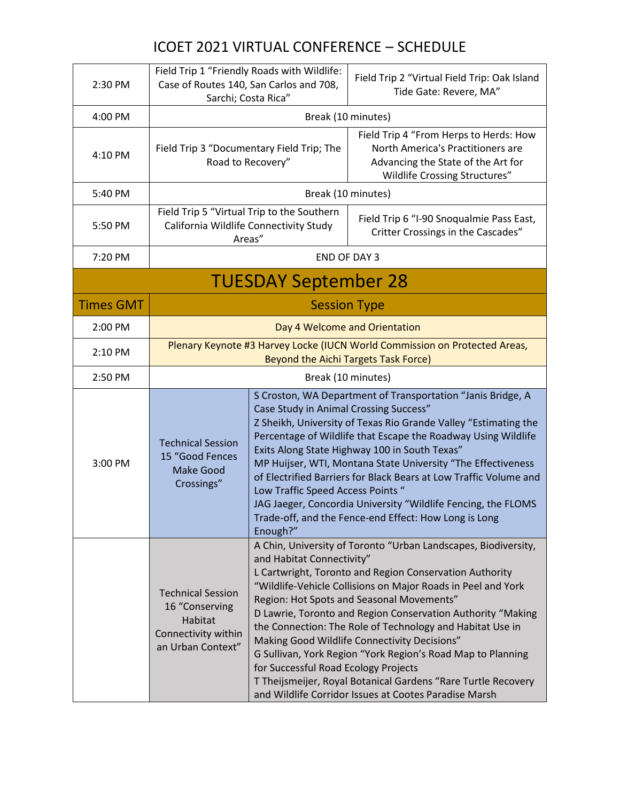| 2:30 PM          |                                                                                                   | Field Trip 1 "Friendly Roads with Wildlife:<br>Case of Routes 140, San Carlos and 708,<br>Sarchi; Costa Rica" | Field Trip 2 "Virtual Field Trip: Oak Island<br>Tide Gate: Revere, MA"                                                                                                                                                                                                                                                                                                                                                                                                                                                                                                                                      |
|------------------|---------------------------------------------------------------------------------------------------|---------------------------------------------------------------------------------------------------------------|-------------------------------------------------------------------------------------------------------------------------------------------------------------------------------------------------------------------------------------------------------------------------------------------------------------------------------------------------------------------------------------------------------------------------------------------------------------------------------------------------------------------------------------------------------------------------------------------------------------|
| 4:00 PM          |                                                                                                   |                                                                                                               | Break (10 minutes)                                                                                                                                                                                                                                                                                                                                                                                                                                                                                                                                                                                          |
| 4:10 PM          |                                                                                                   | Field Trip 3 "Documentary Field Trip; The<br>Road to Recovery"                                                | Field Trip 4 "From Herps to Herds: How<br>North America's Practitioners are<br>Advancing the State of the Art for<br>Wildlife Crossing Structures"                                                                                                                                                                                                                                                                                                                                                                                                                                                          |
| 5:40 PM          |                                                                                                   |                                                                                                               | Break (10 minutes)                                                                                                                                                                                                                                                                                                                                                                                                                                                                                                                                                                                          |
| 5:50 PM          |                                                                                                   | Field Trip 5 "Virtual Trip to the Southern<br>California Wildlife Connectivity Study<br>Areas"                | Field Trip 6 "I-90 Snoqualmie Pass East,<br>Critter Crossings in the Cascades"                                                                                                                                                                                                                                                                                                                                                                                                                                                                                                                              |
| 7:20 PM          |                                                                                                   |                                                                                                               | <b>END OF DAY 3</b>                                                                                                                                                                                                                                                                                                                                                                                                                                                                                                                                                                                         |
|                  |                                                                                                   | <b>TUESDAY September 28</b>                                                                                   |                                                                                                                                                                                                                                                                                                                                                                                                                                                                                                                                                                                                             |
| <b>Times GMT</b> |                                                                                                   |                                                                                                               | <b>Session Type</b>                                                                                                                                                                                                                                                                                                                                                                                                                                                                                                                                                                                         |
| 2:00 PM          |                                                                                                   |                                                                                                               | Day 4 Welcome and Orientation                                                                                                                                                                                                                                                                                                                                                                                                                                                                                                                                                                               |
| 2:10 PM          |                                                                                                   |                                                                                                               | Plenary Keynote #3 Harvey Locke (IUCN World Commission on Protected Areas,<br><b>Beyond the Aichi Targets Task Force)</b>                                                                                                                                                                                                                                                                                                                                                                                                                                                                                   |
| 2:50 PM          |                                                                                                   |                                                                                                               | Break (10 minutes)                                                                                                                                                                                                                                                                                                                                                                                                                                                                                                                                                                                          |
| 3:00 PM          | <b>Technical Session</b><br>15 "Good Fences<br>Make Good<br>Crossings"                            | Case Study in Animal Crossing Success"<br>Low Traffic Speed Access Points "<br>Enough?"                       | S Croston, WA Department of Transportation "Janis Bridge, A<br>Z Sheikh, University of Texas Rio Grande Valley "Estimating the<br>Percentage of Wildlife that Escape the Roadway Using Wildlife<br>Exits Along State Highway 100 in South Texas"<br>MP Huijser, WTI, Montana State University "The Effectiveness<br>of Electrified Barriers for Black Bears at Low Traffic Volume and<br>JAG Jaeger, Concordia University "Wildlife Fencing, the FLOMS<br>Trade-off, and the Fence-end Effect: How Long is Long                                                                                             |
|                  | <b>Technical Session</b><br>16 "Conserving<br>Habitat<br>Connectivity within<br>an Urban Context" | and Habitat Connectivity"<br>for Successful Road Ecology Projects                                             | A Chin, University of Toronto "Urban Landscapes, Biodiversity,<br>L Cartwright, Toronto and Region Conservation Authority<br>"Wildlife-Vehicle Collisions on Major Roads in Peel and York<br>Region: Hot Spots and Seasonal Movements"<br>D Lawrie, Toronto and Region Conservation Authority "Making<br>the Connection: The Role of Technology and Habitat Use in<br>Making Good Wildlife Connectivity Decisions"<br>G Sullivan, York Region "York Region's Road Map to Planning<br>T Theijsmeijer, Royal Botanical Gardens "Rare Turtle Recovery<br>and Wildlife Corridor Issues at Cootes Paradise Marsh |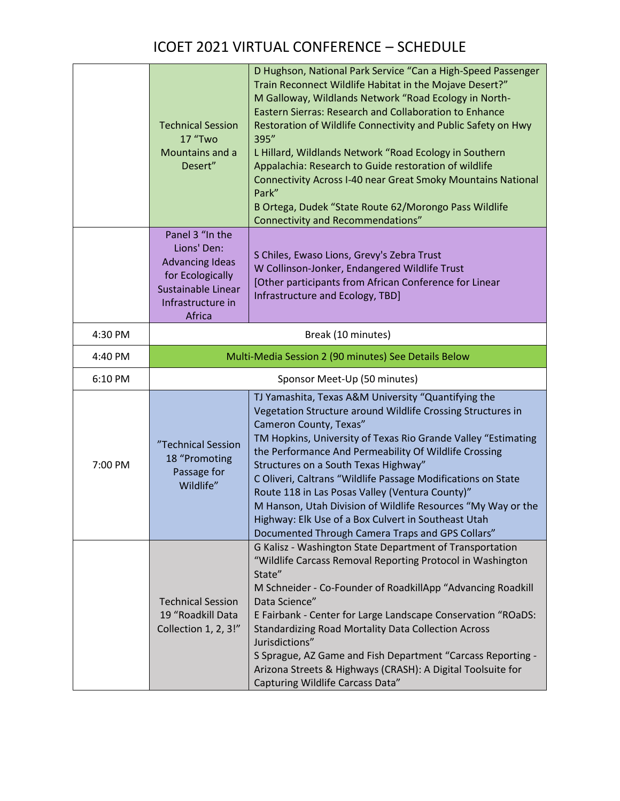|         | <b>Technical Session</b><br><b>17 "Two</b><br>Mountains and a<br>Desert"                                                          | D Hughson, National Park Service "Can a High-Speed Passenger<br>Train Reconnect Wildlife Habitat in the Mojave Desert?"<br>M Galloway, Wildlands Network "Road Ecology in North-<br><b>Eastern Sierras: Research and Collaboration to Enhance</b><br>Restoration of Wildlife Connectivity and Public Safety on Hwy<br>395"<br>L Hillard, Wildlands Network "Road Ecology in Southern<br>Appalachia: Research to Guide restoration of wildlife<br><b>Connectivity Across I-40 near Great Smoky Mountains National</b><br>Park"<br>B Ortega, Dudek "State Route 62/Morongo Pass Wildlife<br><b>Connectivity and Recommendations"</b> |
|---------|-----------------------------------------------------------------------------------------------------------------------------------|------------------------------------------------------------------------------------------------------------------------------------------------------------------------------------------------------------------------------------------------------------------------------------------------------------------------------------------------------------------------------------------------------------------------------------------------------------------------------------------------------------------------------------------------------------------------------------------------------------------------------------|
|         | Panel 3 "In the<br>Lions' Den:<br><b>Advancing Ideas</b><br>for Ecologically<br>Sustainable Linear<br>Infrastructure in<br>Africa | S Chiles, Ewaso Lions, Grevy's Zebra Trust<br>W Collinson-Jonker, Endangered Wildlife Trust<br>[Other participants from African Conference for Linear<br>Infrastructure and Ecology, TBD]                                                                                                                                                                                                                                                                                                                                                                                                                                          |
| 4:30 PM |                                                                                                                                   | Break (10 minutes)                                                                                                                                                                                                                                                                                                                                                                                                                                                                                                                                                                                                                 |
| 4:40 PM |                                                                                                                                   | Multi-Media Session 2 (90 minutes) See Details Below                                                                                                                                                                                                                                                                                                                                                                                                                                                                                                                                                                               |
| 6:10 PM |                                                                                                                                   | Sponsor Meet-Up (50 minutes)                                                                                                                                                                                                                                                                                                                                                                                                                                                                                                                                                                                                       |
| 7:00 PM | "Technical Session<br>18 "Promoting<br>Passage for<br>Wildlife"                                                                   | TJ Yamashita, Texas A&M University "Quantifying the<br>Vegetation Structure around Wildlife Crossing Structures in<br>Cameron County, Texas"<br>TM Hopkins, University of Texas Rio Grande Valley "Estimating<br>the Performance And Permeability Of Wildlife Crossing<br>Structures on a South Texas Highway"<br>C Oliveri, Caltrans "Wildlife Passage Modifications on State<br>Route 118 in Las Posas Valley (Ventura County)"<br>M Hanson, Utah Division of Wildlife Resources "My Way or the<br>Highway: Elk Use of a Box Culvert in Southeast Utah<br>Documented Through Camera Traps and GPS Collars"                       |
|         | <b>Technical Session</b><br>19 "Roadkill Data<br>Collection 1, 2, 3!"                                                             | G Kalisz - Washington State Department of Transportation<br>"Wildlife Carcass Removal Reporting Protocol in Washington<br>State"<br>M Schneider - Co-Founder of RoadkillApp "Advancing Roadkill<br>Data Science"<br>E Fairbank - Center for Large Landscape Conservation "ROaDS:<br><b>Standardizing Road Mortality Data Collection Across</b><br>Jurisdictions"<br>S Sprague, AZ Game and Fish Department "Carcass Reporting -<br>Arizona Streets & Highways (CRASH): A Digital Toolsuite for<br>Capturing Wildlife Carcass Data"                                                                                                 |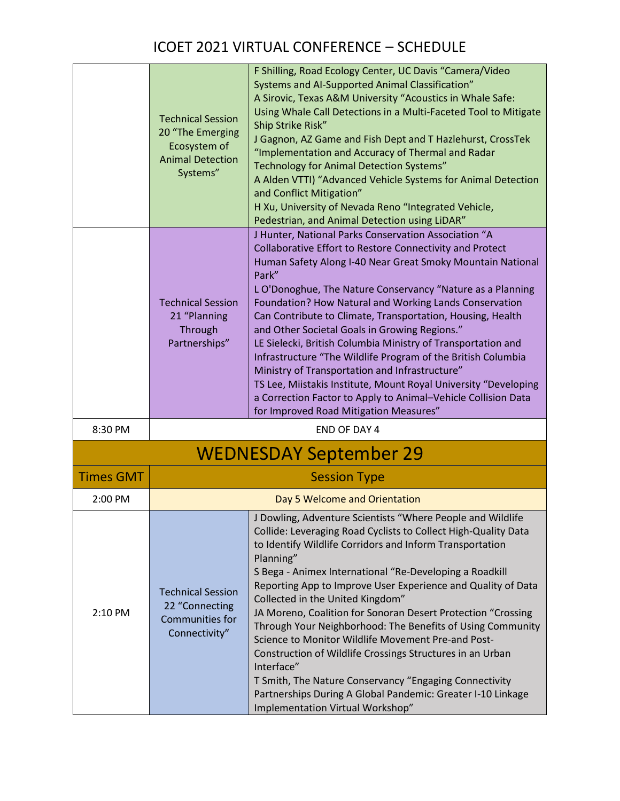|                  | <b>Technical Session</b><br>20 "The Emerging<br>Ecosystem of<br><b>Animal Detection</b><br>Systems" | F Shilling, Road Ecology Center, UC Davis "Camera/Video<br>Systems and AI-Supported Animal Classification"<br>A Sirovic, Texas A&M University "Acoustics in Whale Safe:<br>Using Whale Call Detections in a Multi-Faceted Tool to Mitigate<br>Ship Strike Risk"<br>J Gagnon, AZ Game and Fish Dept and T Hazlehurst, CrossTek<br>"Implementation and Accuracy of Thermal and Radar<br><b>Technology for Animal Detection Systems"</b><br>A Alden VTTI) "Advanced Vehicle Systems for Animal Detection<br>and Conflict Mitigation"<br>H Xu, University of Nevada Reno "Integrated Vehicle,<br>Pedestrian, and Animal Detection using LiDAR"                                                                                                                                                     |
|------------------|-----------------------------------------------------------------------------------------------------|------------------------------------------------------------------------------------------------------------------------------------------------------------------------------------------------------------------------------------------------------------------------------------------------------------------------------------------------------------------------------------------------------------------------------------------------------------------------------------------------------------------------------------------------------------------------------------------------------------------------------------------------------------------------------------------------------------------------------------------------------------------------------------------------|
|                  | <b>Technical Session</b><br>21 "Planning<br>Through<br>Partnerships"                                | J Hunter, National Parks Conservation Association "A<br>Collaborative Effort to Restore Connectivity and Protect<br>Human Safety Along I-40 Near Great Smoky Mountain National<br>Park"<br>L O'Donoghue, The Nature Conservancy "Nature as a Planning<br>Foundation? How Natural and Working Lands Conservation<br>Can Contribute to Climate, Transportation, Housing, Health<br>and Other Societal Goals in Growing Regions."<br>LE Sielecki, British Columbia Ministry of Transportation and<br>Infrastructure "The Wildlife Program of the British Columbia<br>Ministry of Transportation and Infrastructure"<br>TS Lee, Miistakis Institute, Mount Royal University "Developing<br>a Correction Factor to Apply to Animal-Vehicle Collision Data<br>for Improved Road Mitigation Measures" |
| 8:30 PM          |                                                                                                     | <b>END OF DAY 4</b>                                                                                                                                                                                                                                                                                                                                                                                                                                                                                                                                                                                                                                                                                                                                                                            |
|                  |                                                                                                     | <b>WEDNESDAY September 29</b>                                                                                                                                                                                                                                                                                                                                                                                                                                                                                                                                                                                                                                                                                                                                                                  |
| <b>Times GMT</b> |                                                                                                     | <b>Session Type</b>                                                                                                                                                                                                                                                                                                                                                                                                                                                                                                                                                                                                                                                                                                                                                                            |
| 2:00 PM          |                                                                                                     | Day 5 Welcome and Orientation                                                                                                                                                                                                                                                                                                                                                                                                                                                                                                                                                                                                                                                                                                                                                                  |
|                  |                                                                                                     | J Dowling, Adventure Scientists "Where People and Wildlife<br>Collide: Leveraging Road Cyclists to Collect High-Quality Data<br>to Identify Wildlife Corridors and Inform Transportation<br>Planning"<br>S Bega - Animex International "Re-Developing a Roadkill                                                                                                                                                                                                                                                                                                                                                                                                                                                                                                                               |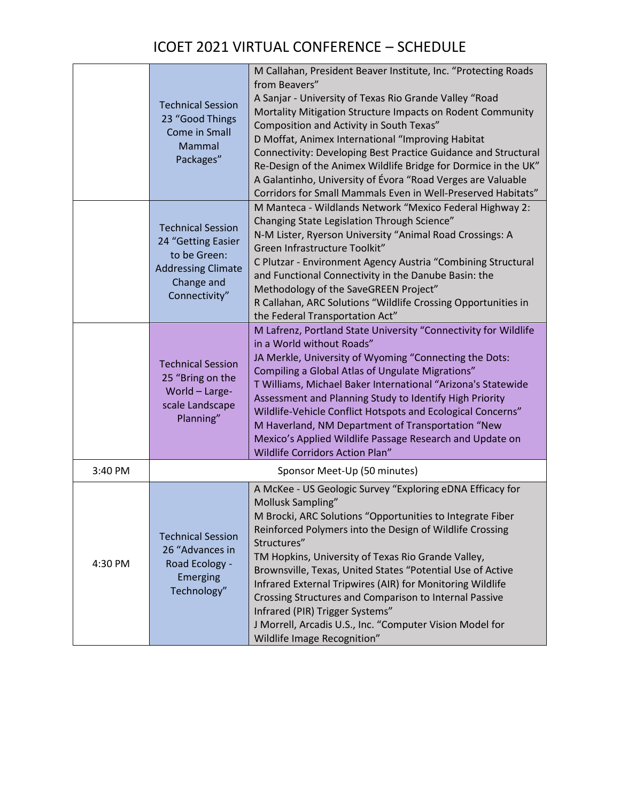|         | <b>Technical Session</b><br>23 "Good Things<br><b>Come in Small</b><br>Mammal<br>Packages"                                 | M Callahan, President Beaver Institute, Inc. "Protecting Roads<br>from Beavers"<br>A Sanjar - University of Texas Rio Grande Valley "Road<br>Mortality Mitigation Structure Impacts on Rodent Community<br>Composition and Activity in South Texas"<br>D Moffat, Animex International "Improving Habitat<br>Connectivity: Developing Best Practice Guidance and Structural<br>Re-Design of the Animex Wildlife Bridge for Dormice in the UK"<br>A Galantinho, University of Évora "Road Verges are Valuable<br>Corridors for Small Mammals Even in Well-Preserved Habitats"                     |
|---------|----------------------------------------------------------------------------------------------------------------------------|-------------------------------------------------------------------------------------------------------------------------------------------------------------------------------------------------------------------------------------------------------------------------------------------------------------------------------------------------------------------------------------------------------------------------------------------------------------------------------------------------------------------------------------------------------------------------------------------------|
|         | <b>Technical Session</b><br>24 "Getting Easier<br>to be Green:<br><b>Addressing Climate</b><br>Change and<br>Connectivity" | M Manteca - Wildlands Network "Mexico Federal Highway 2:<br>Changing State Legislation Through Science"<br>N-M Lister, Ryerson University "Animal Road Crossings: A<br>Green Infrastructure Toolkit"<br>C Plutzar - Environment Agency Austria "Combining Structural<br>and Functional Connectivity in the Danube Basin: the<br>Methodology of the SaveGREEN Project"<br>R Callahan, ARC Solutions "Wildlife Crossing Opportunities in<br>the Federal Transportation Act"                                                                                                                       |
|         | <b>Technical Session</b><br>25 "Bring on the<br>World - Large-<br>scale Landscape<br>Planning"                             | M Lafrenz, Portland State University "Connectivity for Wildlife<br>in a World without Roads"<br>JA Merkle, University of Wyoming "Connecting the Dots:<br>Compiling a Global Atlas of Ungulate Migrations"<br>T Williams, Michael Baker International "Arizona's Statewide<br>Assessment and Planning Study to Identify High Priority<br>Wildlife-Vehicle Conflict Hotspots and Ecological Concerns"<br>M Haverland, NM Department of Transportation "New<br>Mexico's Applied Wildlife Passage Research and Update on<br>Wildlife Corridors Action Plan"                                        |
| 3:40 PM |                                                                                                                            | Sponsor Meet-Up (50 minutes)                                                                                                                                                                                                                                                                                                                                                                                                                                                                                                                                                                    |
| 4:30 PM | <b>Technical Session</b><br>26 "Advances in<br>Road Ecology -<br><b>Emerging</b><br>Technology"                            | A McKee - US Geologic Survey "Exploring eDNA Efficacy for<br>Mollusk Sampling"<br>M Brocki, ARC Solutions "Opportunities to Integrate Fiber<br>Reinforced Polymers into the Design of Wildlife Crossing<br>Structures"<br>TM Hopkins, University of Texas Rio Grande Valley,<br>Brownsville, Texas, United States "Potential Use of Active<br>Infrared External Tripwires (AIR) for Monitoring Wildlife<br>Crossing Structures and Comparison to Internal Passive<br>Infrared (PIR) Trigger Systems"<br>J Morrell, Arcadis U.S., Inc. "Computer Vision Model for<br>Wildlife Image Recognition" |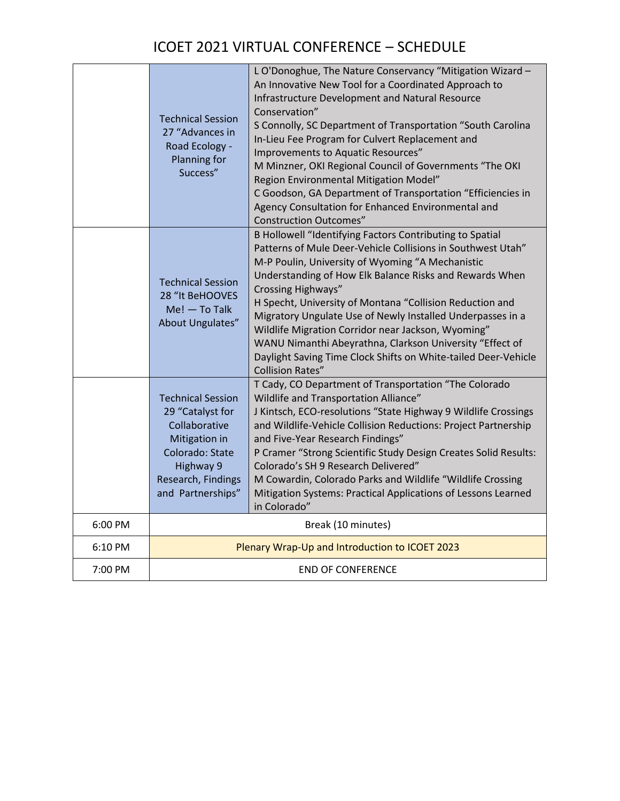|         | <b>Technical Session</b><br>27 "Advances in<br>Road Ecology -<br>Planning for<br>Success"                                                                 | L O'Donoghue, The Nature Conservancy "Mitigation Wizard -<br>An Innovative New Tool for a Coordinated Approach to<br>Infrastructure Development and Natural Resource<br>Conservation"<br>S Connolly, SC Department of Transportation "South Carolina<br>In-Lieu Fee Program for Culvert Replacement and<br>Improvements to Aquatic Resources"<br>M Minzner, OKI Regional Council of Governments "The OKI<br>Region Environmental Mitigation Model"<br>C Goodson, GA Department of Transportation "Efficiencies in<br>Agency Consultation for Enhanced Environmental and<br><b>Construction Outcomes"</b>     |
|---------|-----------------------------------------------------------------------------------------------------------------------------------------------------------|--------------------------------------------------------------------------------------------------------------------------------------------------------------------------------------------------------------------------------------------------------------------------------------------------------------------------------------------------------------------------------------------------------------------------------------------------------------------------------------------------------------------------------------------------------------------------------------------------------------|
|         | <b>Technical Session</b><br>28 "It BeHOOVES<br>$Me!$ - To Talk<br>About Ungulates"                                                                        | B Hollowell "Identifying Factors Contributing to Spatial<br>Patterns of Mule Deer-Vehicle Collisions in Southwest Utah"<br>M-P Poulin, University of Wyoming "A Mechanistic<br>Understanding of How Elk Balance Risks and Rewards When<br><b>Crossing Highways"</b><br>H Specht, University of Montana "Collision Reduction and<br>Migratory Ungulate Use of Newly Installed Underpasses in a<br>Wildlife Migration Corridor near Jackson, Wyoming"<br>WANU Nimanthi Abeyrathna, Clarkson University "Effect of<br>Daylight Saving Time Clock Shifts on White-tailed Deer-Vehicle<br><b>Collision Rates"</b> |
|         | <b>Technical Session</b><br>29 "Catalyst for<br>Collaborative<br>Mitigation in<br>Colorado: State<br>Highway 9<br>Research, Findings<br>and Partnerships" | T Cady, CO Department of Transportation "The Colorado<br>Wildlife and Transportation Alliance"<br>J Kintsch, ECO-resolutions "State Highway 9 Wildlife Crossings<br>and Wildlife-Vehicle Collision Reductions: Project Partnership<br>and Five-Year Research Findings"<br>P Cramer "Strong Scientific Study Design Creates Solid Results:<br>Colorado's SH 9 Research Delivered"<br>M Cowardin, Colorado Parks and Wildlife "Wildlife Crossing<br>Mitigation Systems: Practical Applications of Lessons Learned<br>in Colorado"                                                                              |
| 6:00 PM |                                                                                                                                                           | Break (10 minutes)                                                                                                                                                                                                                                                                                                                                                                                                                                                                                                                                                                                           |
| 6:10 PM |                                                                                                                                                           | Plenary Wrap-Up and Introduction to ICOET 2023                                                                                                                                                                                                                                                                                                                                                                                                                                                                                                                                                               |
| 7:00 PM |                                                                                                                                                           | <b>END OF CONFERENCE</b>                                                                                                                                                                                                                                                                                                                                                                                                                                                                                                                                                                                     |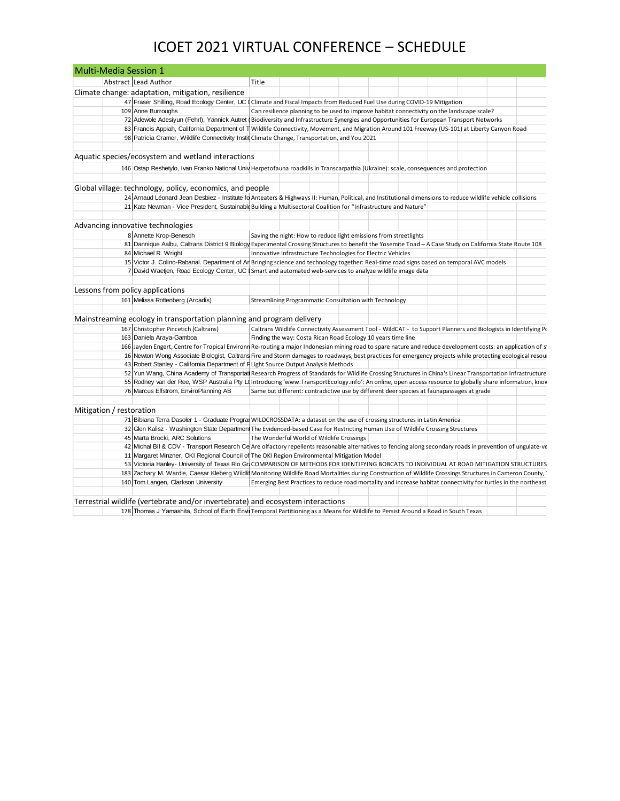| <b>Multi-Media Session 1</b>     |                                                                                                                                                                                   |       |                                                        |                                                                                                                 |  |  |
|----------------------------------|-----------------------------------------------------------------------------------------------------------------------------------------------------------------------------------|-------|--------------------------------------------------------|-----------------------------------------------------------------------------------------------------------------|--|--|
|                                  | Abstract Lead Author                                                                                                                                                              | Title |                                                        |                                                                                                                 |  |  |
|                                  | Climate change: adaptation, mitigation, resilience                                                                                                                                |       |                                                        |                                                                                                                 |  |  |
|                                  | 47 Fraser Shilling, Road Ecology Center, UC I Climate and Fiscal Impacts from Reduced Fuel Use during COVID-19 Mitigation                                                         |       |                                                        |                                                                                                                 |  |  |
|                                  | 109 Anne Burroughs                                                                                                                                                                |       |                                                        | Can resilience planning to be used to improve habitat connectivity on the landscape scale?                      |  |  |
|                                  | 72 Adewole Adesiyun (Fehrl), Yannick Autret (Biodiversity and Infrastructure Synergies and Opportunities for European Transport Networks                                          |       |                                                        |                                                                                                                 |  |  |
|                                  | 83 Francis Appiah, California Department of T Wildlife Connectivity, Movement, and Migration Around 101 Freeway (US-101) at Liberty Canyon Road                                   |       |                                                        |                                                                                                                 |  |  |
|                                  | 98 Patricia Cramer, Wildlife Connectivity Instit Climate Change, Transportation, and You 2021                                                                                     |       |                                                        |                                                                                                                 |  |  |
|                                  |                                                                                                                                                                                   |       |                                                        |                                                                                                                 |  |  |
|                                  | Aquatic species/ecosystem and wetland interactions                                                                                                                                |       |                                                        |                                                                                                                 |  |  |
|                                  | 146 Ostap Reshetylo, Ivan Franko National Univ Herpetofauna roadkills in Transcarpathia (Ukraine): scale, consequences and protection                                             |       |                                                        |                                                                                                                 |  |  |
|                                  |                                                                                                                                                                                   |       |                                                        |                                                                                                                 |  |  |
|                                  | Global village: technology, policy, economics, and people                                                                                                                         |       |                                                        |                                                                                                                 |  |  |
|                                  | 24 Arnaud Léonard Jean Desbiez - Institute fo Anteaters & Highways II: Human, Political, and Institutional dimensions to reduce wildlife vehicle collisions                       |       |                                                        |                                                                                                                 |  |  |
|                                  | 21 Kate Newman - Vice President, Sustainable Building a Multisectoral Coalition for "Infrastructure and Nature"                                                                   |       |                                                        |                                                                                                                 |  |  |
|                                  |                                                                                                                                                                                   |       |                                                        |                                                                                                                 |  |  |
|                                  | Advancing innovative technologies                                                                                                                                                 |       |                                                        |                                                                                                                 |  |  |
|                                  | 8 Annette Krop-Benesch                                                                                                                                                            |       |                                                        |                                                                                                                 |  |  |
|                                  |                                                                                                                                                                                   |       |                                                        | Saving the night: How to reduce light emissions from streetlights                                               |  |  |
|                                  | 81 Dannique Aalbu, Caltrans District 9 Biology Experimental Crossing Structures to benefit the Yosemite Toad - A Case Study on California State Route 108<br>84 Michael R. Wright |       |                                                        |                                                                                                                 |  |  |
|                                  | 15 Victor J. Colino-Rabanal. Department of Ar Bringing science and technology together: Real-time road signs based on temporal AVC models                                         |       |                                                        | Innovative Infrastructure Technologies for Electric Vehicles                                                    |  |  |
|                                  | 7 David Waetjen, Road Ecology Center, UC I Smart and automated web-services to analyze wildlife image data                                                                        |       |                                                        |                                                                                                                 |  |  |
|                                  |                                                                                                                                                                                   |       |                                                        |                                                                                                                 |  |  |
|                                  |                                                                                                                                                                                   |       |                                                        |                                                                                                                 |  |  |
| Lessons from policy applications |                                                                                                                                                                                   |       |                                                        |                                                                                                                 |  |  |
|                                  | 161 Melissa Rottenberg (Arcadis)                                                                                                                                                  |       | Streamlining Programmatic Consultation with Technology |                                                                                                                 |  |  |
|                                  |                                                                                                                                                                                   |       |                                                        |                                                                                                                 |  |  |
|                                  | Mainstreaming ecology in transportation planning and program delivery                                                                                                             |       |                                                        |                                                                                                                 |  |  |
|                                  | 167 Christopher Pincetich (Caltrans)                                                                                                                                              |       |                                                        | Caltrans Wildlife Connectivity Assessment Tool - WildCAT - to Support Planners and Biologists in Identifying Po |  |  |
|                                  | 163 Daniela Araya-Gamboa                                                                                                                                                          |       |                                                        | Finding the way: Costa Rican Road Ecology 10 years time line                                                    |  |  |
|                                  | 166 Jayden Engert, Centre for Tropical Environn Re-routing a major Indonesian mining road to spare nature and reduce development costs: an application of s                       |       |                                                        |                                                                                                                 |  |  |
|                                  | 16 Newton Wong Associate Biologist, Caltrans Fire and Storm damages to roadways, best practices for emergency projects while protecting ecological resou                          |       |                                                        |                                                                                                                 |  |  |
|                                  | 43 Robert Stanley - California Department of FLight Source Output Analysis Methods                                                                                                |       |                                                        |                                                                                                                 |  |  |
|                                  | 52 Yun Wang, China Academy of Transportat Research Progress of Standards for Wildlife Crossing Structures in China's Linear Transportation Infrastructure                         |       |                                                        |                                                                                                                 |  |  |
|                                  | 55 Rodney van der Ree, WSP Australia Pty Lt Introducing 'www.TransportEcology.info': An online, open access resource to globally share information, knov                          |       |                                                        |                                                                                                                 |  |  |
|                                  | 76 Marcus Elfström, EnviroPlanning AB                                                                                                                                             |       |                                                        | Same but different: contradictive use by different deer species at faunapassages at grade                       |  |  |
|                                  |                                                                                                                                                                                   |       |                                                        |                                                                                                                 |  |  |
| Mitigation / restoration         |                                                                                                                                                                                   |       |                                                        |                                                                                                                 |  |  |
|                                  | 71 Bibiana Terra Dasoler 1 - Graduate Program WILDCROSSDATA: a dataset on the use of crossing structures in Latin America                                                         |       |                                                        |                                                                                                                 |  |  |
|                                  | 32 Glen Kalisz - Washington State Departmen The Evidenced-based Case for Restricting Human Use of Wildlife Crossing Structures                                                    |       |                                                        |                                                                                                                 |  |  |
|                                  | 45 Marta Brocki, ARC Solutions                                                                                                                                                    |       | The Wonderful World of Wildlife Crossings              |                                                                                                                 |  |  |
|                                  | 42 Michal Bíl & CDV - Transport Research Ce Are olfactory repellents reasonable alternatives to fencing along secondary roads in prevention of ungulate-ve                        |       |                                                        |                                                                                                                 |  |  |
|                                  | 11 Margaret Minzner, OKI Regional Council of The OKI Region Environmental Mitigation Model                                                                                        |       |                                                        |                                                                                                                 |  |  |
|                                  | 53 Victoria Hanley- University of Texas Rio Gr COMPARISON OF METHODS FOR IDENTIFYING BOBCATS TO INDIVIDUAL AT ROAD MITIGATION STRUCTURES                                          |       |                                                        |                                                                                                                 |  |  |
|                                  | 183 Zachary M. Wardle, Caesar Kleberg Wildlif Monitoring Wildlife Road Mortalities during Construction of Wildlife Crossings Structures in Cameron County,                        |       |                                                        |                                                                                                                 |  |  |
|                                  | 140 Tom Langen, Clarkson University                                                                                                                                               |       |                                                        | Emerging Best Practices to reduce road mortality and increase habitat connectivity for turtles in the northeast |  |  |
|                                  |                                                                                                                                                                                   |       |                                                        |                                                                                                                 |  |  |
|                                  | Terrestrial wildlife (vertebrate and/or invertebrate) and ecosystem interactions                                                                                                  |       |                                                        |                                                                                                                 |  |  |
|                                  | 178 Thomas J Yamashita, School of Earth Envil Temporal Partitioning as a Means for Wildlife to Persist Around a Road in South Texas                                               |       |                                                        |                                                                                                                 |  |  |